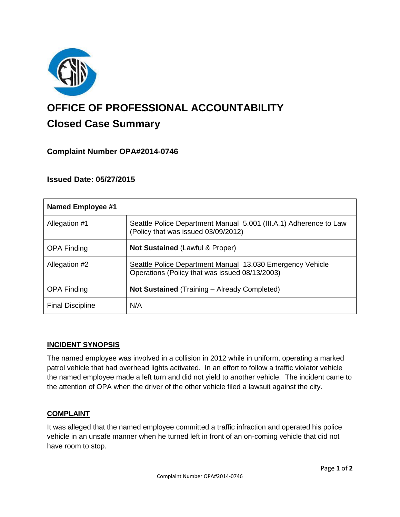

# **OFFICE OF PROFESSIONAL ACCOUNTABILITY Closed Case Summary**

# **Complaint Number OPA#2014-0746**

## **Issued Date: 05/27/2015**

| <b>Named Employee #1</b> |                                                                                                             |
|--------------------------|-------------------------------------------------------------------------------------------------------------|
| Allegation #1            | Seattle Police Department Manual 5.001 (III.A.1) Adherence to Law<br>(Policy that was issued 03/09/2012)    |
| <b>OPA Finding</b>       | <b>Not Sustained (Lawful &amp; Proper)</b>                                                                  |
| Allegation #2            | Seattle Police Department Manual 13.030 Emergency Vehicle<br>Operations (Policy that was issued 08/13/2003) |
| <b>OPA Finding</b>       | Not Sustained (Training - Already Completed)                                                                |
| <b>Final Discipline</b>  | N/A                                                                                                         |

### **INCIDENT SYNOPSIS**

The named employee was involved in a collision in 2012 while in uniform, operating a marked patrol vehicle that had overhead lights activated. In an effort to follow a traffic violator vehicle the named employee made a left turn and did not yield to another vehicle. The incident came to the attention of OPA when the driver of the other vehicle filed a lawsuit against the city.

### **COMPLAINT**

It was alleged that the named employee committed a traffic infraction and operated his police vehicle in an unsafe manner when he turned left in front of an on-coming vehicle that did not have room to stop.